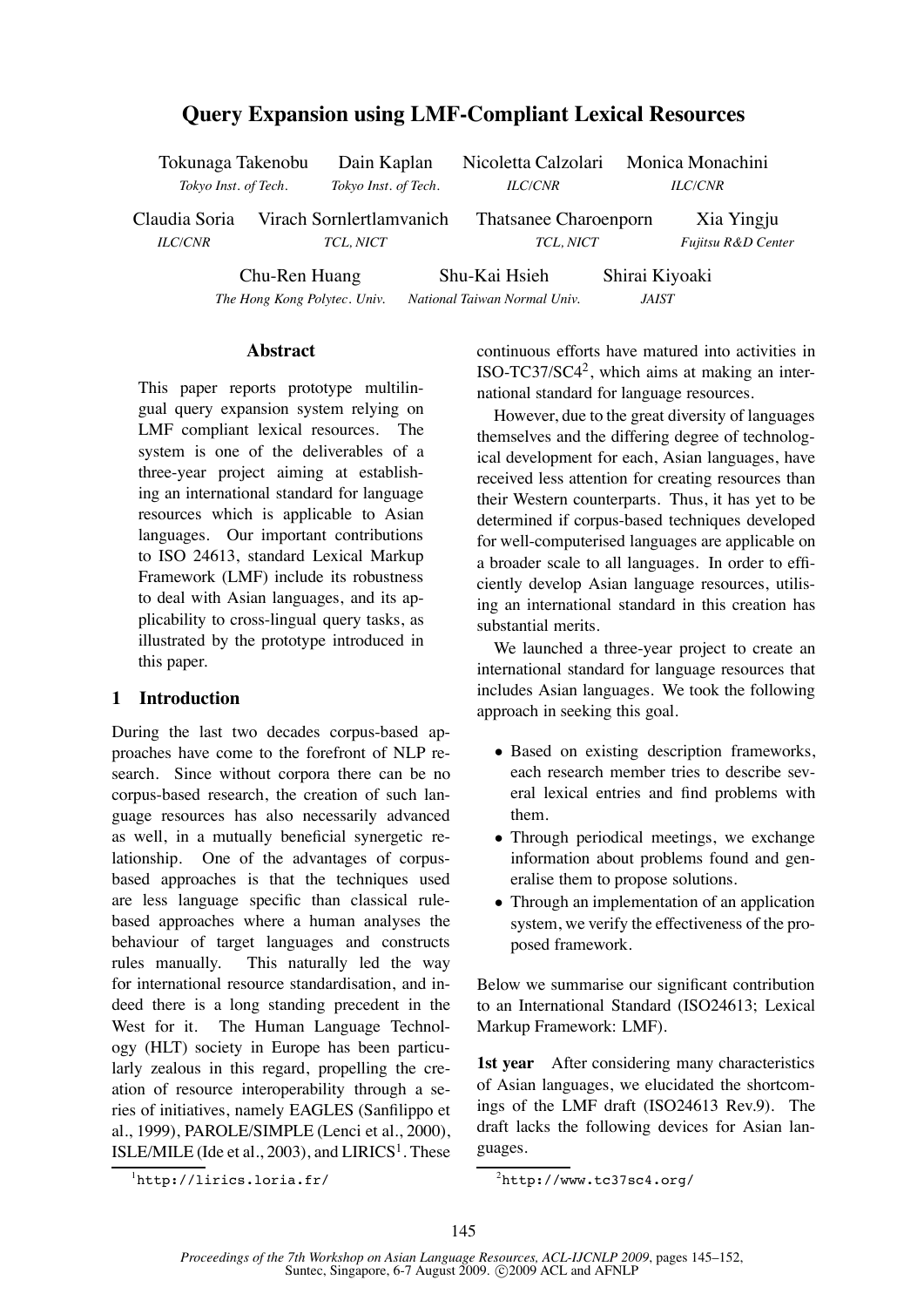# **Query Expansion using LMF-Compliant Lexical Resources**

| Tokunaga Takenobu    |                              | Dain Kaplan              |  | Nicoletta Calzolari Monica Monachini |  |                    |  |
|----------------------|------------------------------|--------------------------|--|--------------------------------------|--|--------------------|--|
| Tokyo Inst. of Tech. |                              | Tokyo Inst. of Tech.     |  | <i>ILC/CNR</i>                       |  | <b>ILC/CNR</b>     |  |
| Claudia Soria        |                              | Virach Sornlertlamvanich |  | Thatsanee Charoenporn                |  | Xia Yingju         |  |
| <b>ILC/CNR</b>       |                              | TCL, NICT                |  | TCL, NICT                            |  | Fujitsu R&D Center |  |
|                      | Chu-Ren Huang                |                          |  | Shu-Kai Hsieh                        |  | Shirai Kiyoaki     |  |
|                      | The Hong Kong Polytec, Univ. |                          |  | National Taiwan Normal Univ.         |  | <i>JAIST</i>       |  |

**Abstract**

This paper reports prototype multilingual query expansion system relying on LMF compliant lexical resources. The system is one of the deliverables of a three-year project aiming at establishing an international standard for language resources which is applicable to Asian languages. Our important contributions to ISO 24613, standard Lexical Markup Framework (LMF) include its robustness to deal with Asian languages, and its applicability to cross-lingual query tasks, as illustrated by the prototype introduced in this paper.

### **1 Introduction**

During the last two decades corpus-based approaches have come to the forefront of NLP research. Since without corpora there can be no corpus-based research, the creation of such language resources has also necessarily advanced as well, in a mutually beneficial synergetic relationship. One of the advantages of corpusbased approaches is that the techniques used are less language specific than classical rulebased approaches where a human analyses the behaviour of target languages and constructs rules manually. This naturally led the way for international resource standardisation, and indeed there is a long standing precedent in the West for it. The Human Language Technology (HLT) society in Europe has been particularly zealous in this regard, propelling the creation of resource interoperability through a series of initiatives, namely EAGLES (Sanfilippo et al., 1999), PAROLE/SIMPLE (Lenci et al., 2000), ISLE/MILE (Ide et al., 2003), and  $LIRICS<sup>1</sup>$ . These continuous efforts have matured into activities in ISO-TC37/SC4<sup>2</sup>, which aims at making an international standard for language resources.

However, due to the great diversity of languages themselves and the differing degree of technological development for each, Asian languages, have received less attention for creating resources than their Western counterparts. Thus, it has yet to be determined if corpus-based techniques developed for well-computerised languages are applicable on a broader scale to all languages. In order to efficiently develop Asian language resources, utilising an international standard in this creation has substantial merits.

We launched a three-year project to create an international standard for language resources that includes Asian languages. We took the following approach in seeking this goal.

- *•* Based on existing description frameworks, each research member tries to describe several lexical entries and find problems with them.
- *•* Through periodical meetings, we exchange information about problems found and generalise them to propose solutions.
- Through an implementation of an application system, we verify the effectiveness of the proposed framework.

Below we summarise our significant contribution to an International Standard (ISO24613; Lexical Markup Framework: LMF).

**1st year** After considering many characteristics of Asian languages, we elucidated the shortcomings of the LMF draft (ISO24613 Rev.9). The draft lacks the following devices for Asian languages.

<sup>1</sup> http://lirics.loria.fr/

 $^{2}$ http://www.tc37sc4.org/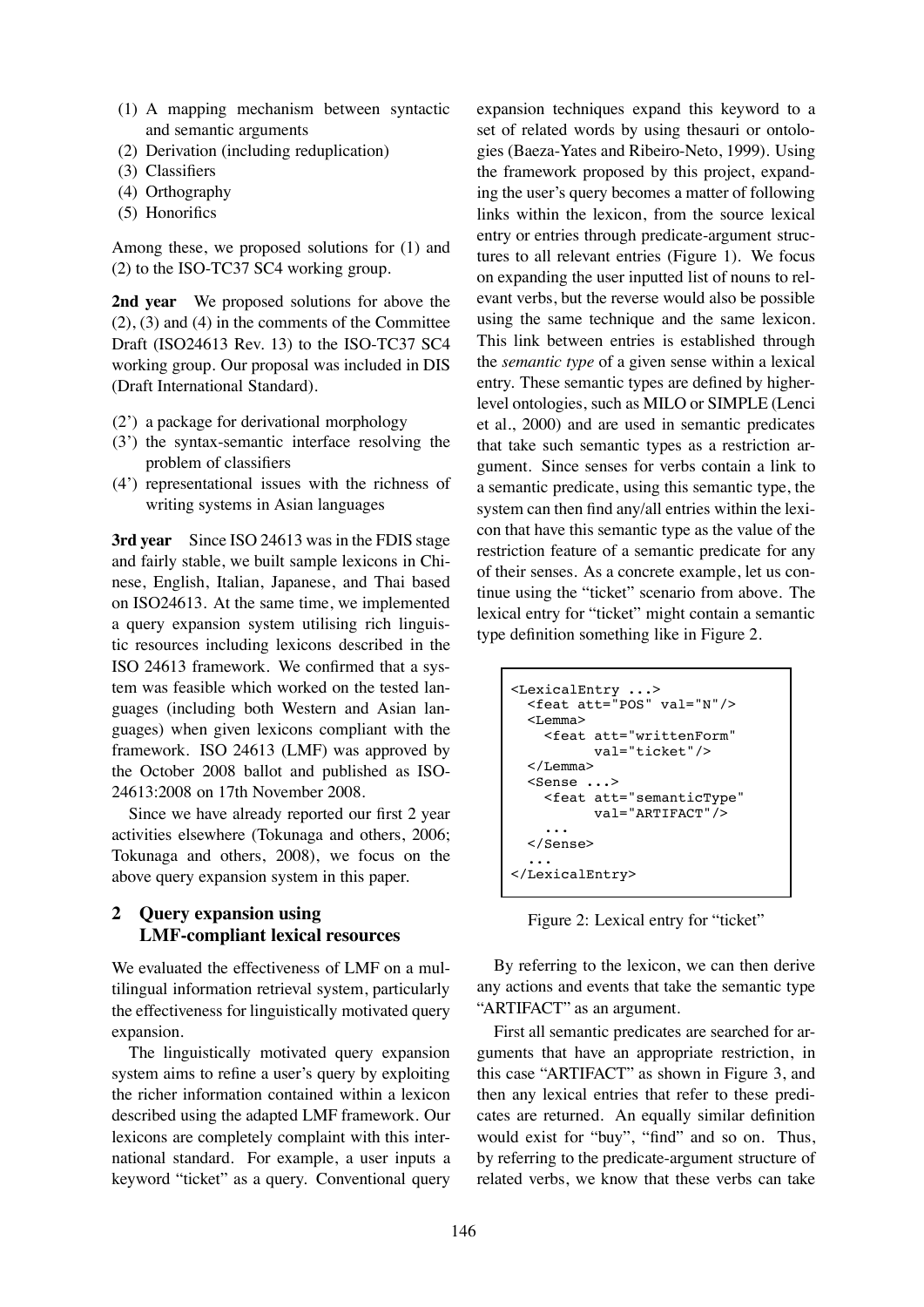- (1) A mapping mechanism between syntactic and semantic arguments
- (2) Derivation (including reduplication)
- (3) Classifiers
- (4) Orthography
- (5) Honorifics

Among these, we proposed solutions for (1) and (2) to the ISO-TC37 SC4 working group.

**2nd year** We proposed solutions for above the  $(2)$ ,  $(3)$  and  $(4)$  in the comments of the Committee Draft (ISO24613 Rev. 13) to the ISO-TC37 SC4 working group. Our proposal was included in DIS (Draft International Standard).

- (2') a package for derivational morphology
- (3') the syntax-semantic interface resolving the problem of classifiers
- (4') representational issues with the richness of writing systems in Asian languages

**3rd year** Since ISO 24613 was in the FDIS stage and fairly stable, we built sample lexicons in Chinese, English, Italian, Japanese, and Thai based on ISO24613. At the same time, we implemented a query expansion system utilising rich linguistic resources including lexicons described in the ISO 24613 framework. We confirmed that a system was feasible which worked on the tested languages (including both Western and Asian languages) when given lexicons compliant with the framework. ISO 24613 (LMF) was approved by the October 2008 ballot and published as ISO-24613:2008 on 17th November 2008.

Since we have already reported our first 2 year activities elsewhere (Tokunaga and others, 2006; Tokunaga and others, 2008), we focus on the above query expansion system in this paper.

# **2 Query expansion using LMF-compliant lexical resources**

We evaluated the effectiveness of LMF on a multilingual information retrieval system, particularly the effectiveness for linguistically motivated query expansion.

The linguistically motivated query expansion system aims to refine a user's query by exploiting the richer information contained within a lexicon described using the adapted LMF framework. Our lexicons are completely complaint with this international standard. For example, a user inputs a keyword "ticket" as a query. Conventional query

expansion techniques expand this keyword to a set of related words by using thesauri or ontologies (Baeza-Yates and Ribeiro-Neto, 1999). Using the framework proposed by this project, expanding the user's query becomes a matter of following links within the lexicon, from the source lexical entry or entries through predicate-argument structures to all relevant entries (Figure 1). We focus on expanding the user inputted list of nouns to relevant verbs, but the reverse would also be possible using the same technique and the same lexicon. This link between entries is established through the *semantic type* of a given sense within a lexical entry. These semantic types are defined by higherlevel ontologies, such as MILO or SIMPLE (Lenci et al., 2000) and are used in semantic predicates that take such semantic types as a restriction argument. Since senses for verbs contain a link to a semantic predicate, using this semantic type, the system can then find any/all entries within the lexicon that have this semantic type as the value of the restriction feature of a semantic predicate for any of their senses. As a concrete example, let us continue using the "ticket" scenario from above. The lexical entry for "ticket" might contain a semantic type definition something like in Figure 2.

```
<LexicalEntry ...>
  <feat att="POS" val="N"/>
  <Lemma>
    <feat att="writtenForm"
          val="ticket"/>
  </Lemma>
  <Sense ...>
    <feat att="semanticType"
          val="ARTIFACT"/>
    ...
  </Sense>
  ...
</LexicalEntry>
```
Figure 2: Lexical entry for "ticket"

By referring to the lexicon, we can then derive any actions and events that take the semantic type "ARTIFACT" as an argument.

First all semantic predicates are searched for arguments that have an appropriate restriction, in this case "ARTIFACT" as shown in Figure 3, and then any lexical entries that refer to these predicates are returned. An equally similar definition would exist for "buy", "find" and so on. Thus, by referring to the predicate-argument structure of related verbs, we know that these verbs can take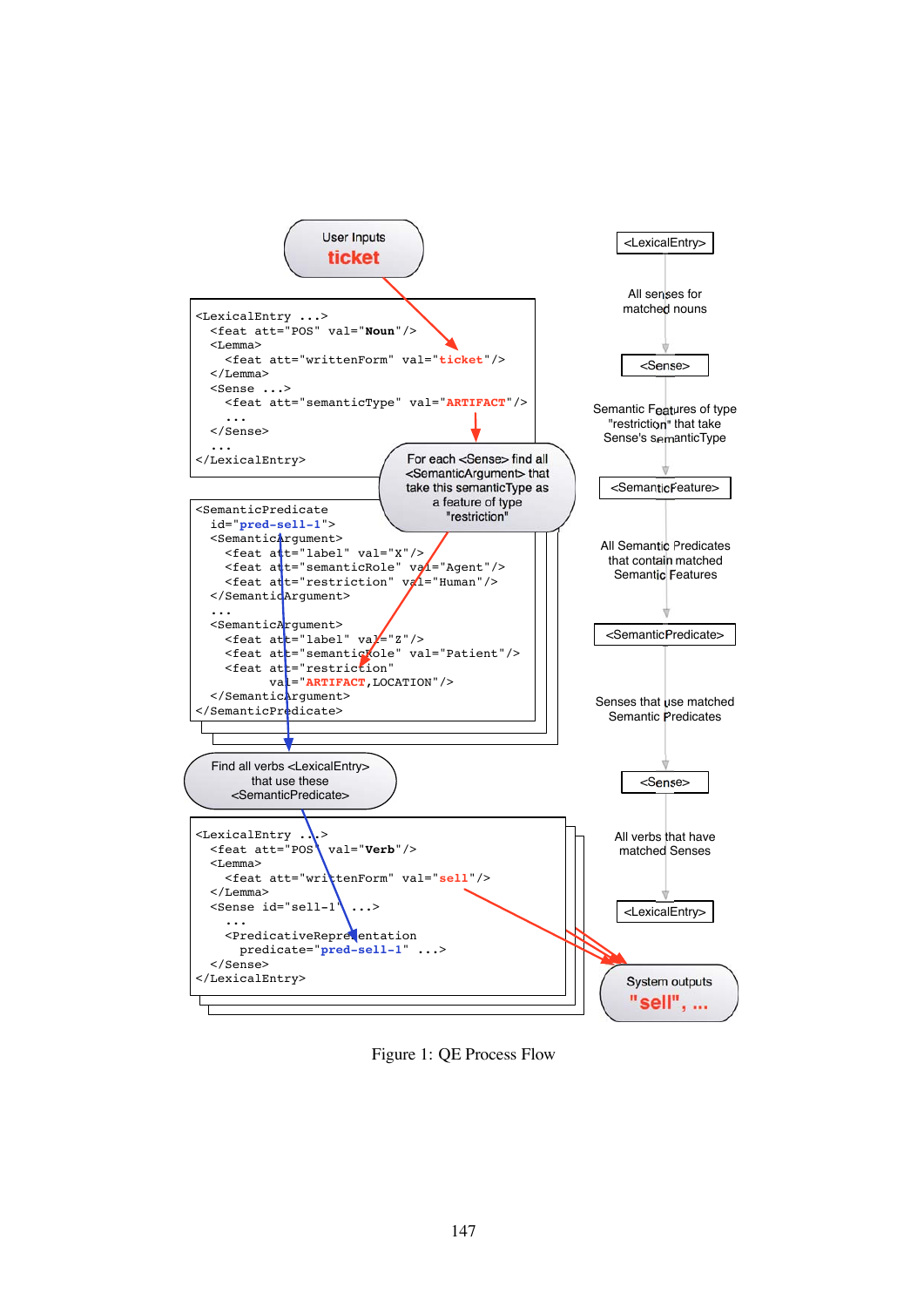

Figure 1: QE Process Flow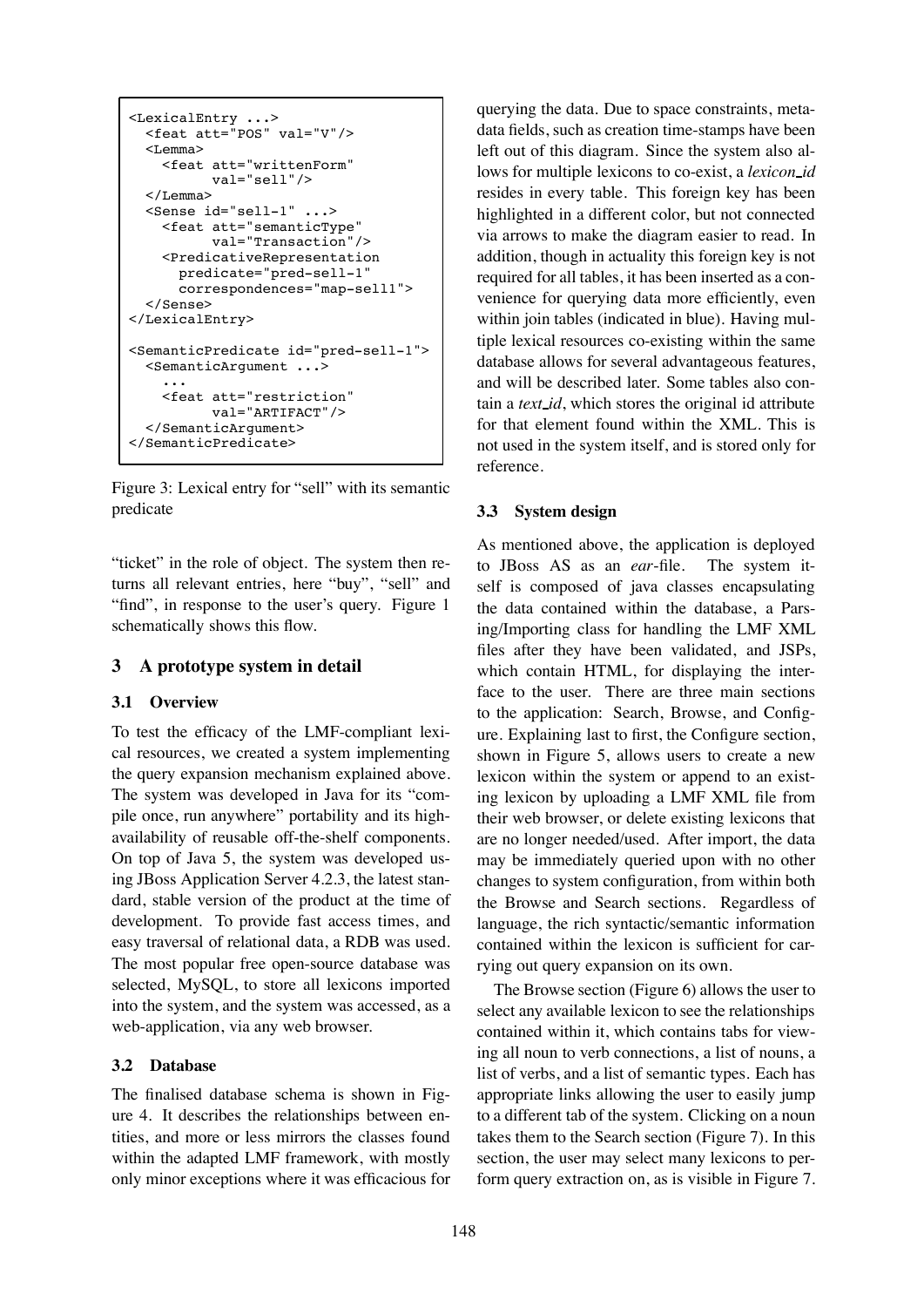```
<LexicalEntry ...>
  <feat att="POS" val="V"/>
  <Lemma><feat att="writtenForm"
          val="sell"/>
  </Lemma>
  <Sense id="sell-1" ...>
    <feat att="semanticType"
          val="Transaction"/>
    <PredicativeRepresentation
      predicate="pred-sell-1"
      correspondences="map-sell1">
  </Sense>
</LexicalEntry>
<SemanticPredicate id="pred-sell-1">
  <SemanticArgument ...>
    ...
    <feat att="restriction"
          val="ARTIFACT"/>
  </SemanticArgument>
</SemanticPredicate>
```
Figure 3: Lexical entry for "sell" with its semantic predicate

"ticket" in the role of object. The system then returns all relevant entries, here "buy", "sell" and "find", in response to the user's query. Figure 1 schematically shows this flow.

### **3 A prototype system in detail**

#### **3.1 Overview**

To test the efficacy of the LMF-compliant lexical resources, we created a system implementing the query expansion mechanism explained above. The system was developed in Java for its "compile once, run anywhere" portability and its highavailability of reusable off-the-shelf components. On top of Java 5, the system was developed using JBoss Application Server 4.2.3, the latest standard, stable version of the product at the time of development. To provide fast access times, and easy traversal of relational data, a RDB was used. The most popular free open-source database was selected, MySQL, to store all lexicons imported into the system, and the system was accessed, as a web-application, via any web browser.

#### **3.2 Database**

The finalised database schema is shown in Figure 4. It describes the relationships between entities, and more or less mirrors the classes found within the adapted LMF framework, with mostly only minor exceptions where it was efficacious for querying the data. Due to space constraints, metadata fields, such as creation time-stamps have been left out of this diagram. Since the system also allows for multiple lexicons to co-exist, a *lexicon id* resides in every table. This foreign key has been highlighted in a different color, but not connected via arrows to make the diagram easier to read. In addition, though in actuality this foreign key is not required for all tables, it has been inserted as a convenience for querying data more efficiently, even within join tables (indicated in blue). Having multiple lexical resources co-existing within the same database allows for several advantageous features, and will be described later. Some tables also contain a *text id*, which stores the original id attribute for that element found within the XML. This is not used in the system itself, and is stored only for reference.

#### **3.3 System design**

As mentioned above, the application is deployed to JBoss AS as an *ear*-file. The system itself is composed of java classes encapsulating the data contained within the database, a Parsing/Importing class for handling the LMF XML files after they have been validated, and JSPs, which contain HTML, for displaying the interface to the user. There are three main sections to the application: Search, Browse, and Configure. Explaining last to first, the Configure section, shown in Figure 5, allows users to create a new lexicon within the system or append to an existing lexicon by uploading a LMF XML file from their web browser, or delete existing lexicons that are no longer needed/used. After import, the data may be immediately queried upon with no other changes to system configuration, from within both the Browse and Search sections. Regardless of language, the rich syntactic/semantic information contained within the lexicon is sufficient for carrying out query expansion on its own.

The Browse section (Figure 6) allows the user to select any available lexicon to see the relationships contained within it, which contains tabs for viewing all noun to verb connections, a list of nouns, a list of verbs, and a list of semantic types. Each has appropriate links allowing the user to easily jump to a different tab of the system. Clicking on a noun takes them to the Search section (Figure 7). In this section, the user may select many lexicons to perform query extraction on, as is visible in Figure 7.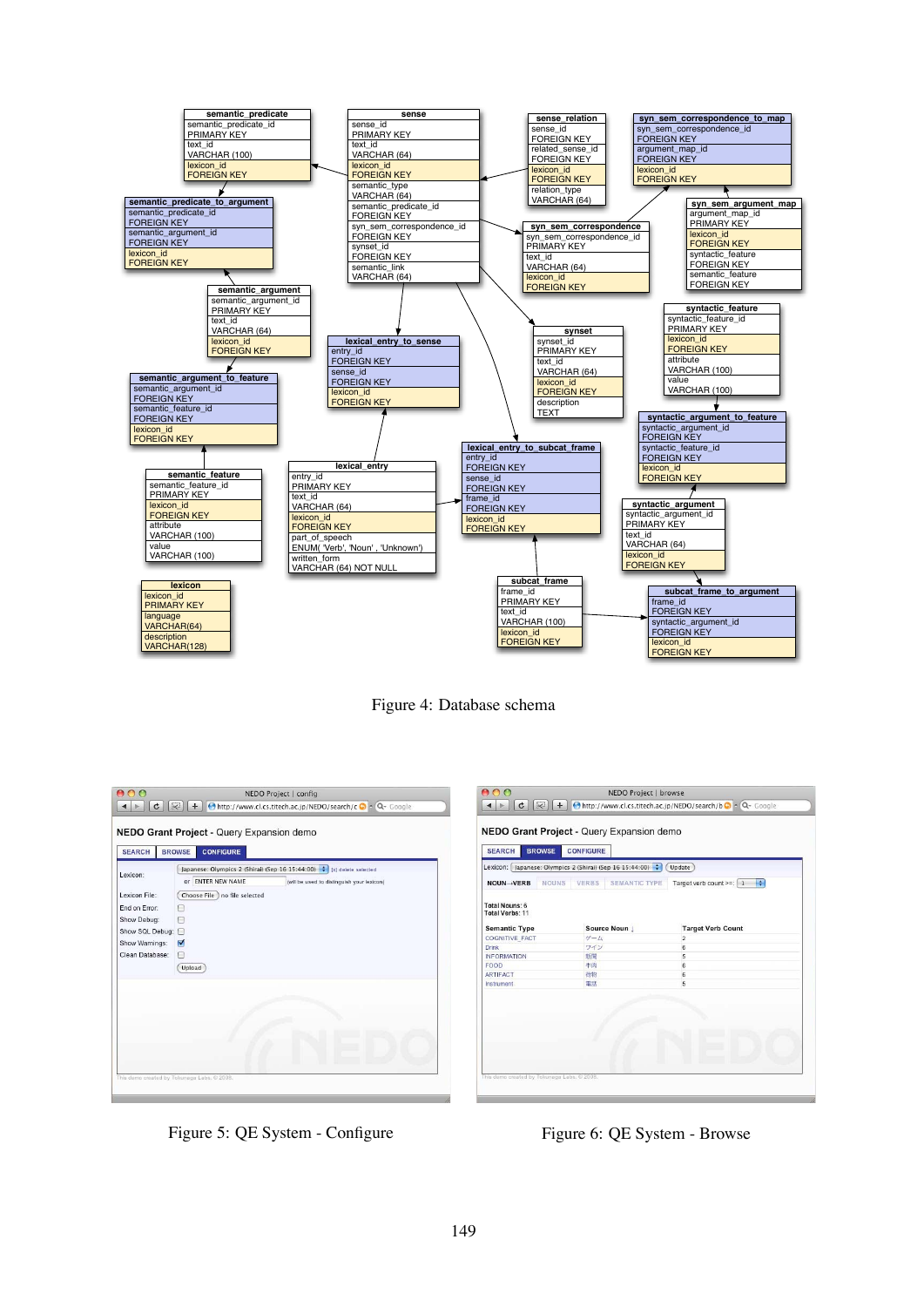



 $000$ 

| Lexicon:        | Japanese: Olympics 2 (Shirai) (Sep 16 15:44:00) : [x] delete selected |                                            |  |  |  |
|-----------------|-----------------------------------------------------------------------|--------------------------------------------|--|--|--|
|                 | OF ENTER NEW NAME                                                     | (will be used to distinguish your lexicon) |  |  |  |
| Lexicon File:   | Choose File Ino file selected                                         |                                            |  |  |  |
| End on Error:   | A                                                                     |                                            |  |  |  |
| Show Debug:     | 同                                                                     |                                            |  |  |  |
| Show SQL Debug: | 日                                                                     |                                            |  |  |  |
| Show Warnings:  | ⊽                                                                     |                                            |  |  |  |
| Clean Database: | п                                                                     |                                            |  |  |  |
|                 | Upload                                                                |                                            |  |  |  |
|                 |                                                                       |                                            |  |  |  |

| <b>NOUN→VERB</b>                  | <b>NOUNS</b> | VERBS | SEMANTIC TYPE | Target verb count >=: $\begin{bmatrix} 1 & \frac{1}{2} \end{bmatrix}$ |  |  |
|-----------------------------------|--------------|-------|---------------|-----------------------------------------------------------------------|--|--|
| Total Nouns: 6<br>Total Verbs: 11 |              |       |               |                                                                       |  |  |
| <b>Semantic Type</b>              |              |       | Source Noun   | <b>Target Verb Count</b>                                              |  |  |
| <b>COGNITIVE FACT</b>             |              | ゲーム   |               | $\overline{2}$                                                        |  |  |
| Drink                             |              | ワイン   |               | 6                                                                     |  |  |
| <b>INFORMATION</b>                |              | 新聞    |               | 5                                                                     |  |  |
| FOOD                              |              | 牛肉    |               | 6                                                                     |  |  |
| <b>ARTIFACT</b>                   |              | 荷物    |               | $\overline{6}$                                                        |  |  |
| Instrument                        |              | 電話    |               | 5                                                                     |  |  |
|                                   |              |       |               |                                                                       |  |  |

NEDO Project | browse

Figure 5: QE System - Configure Figure 6: QE System - Browse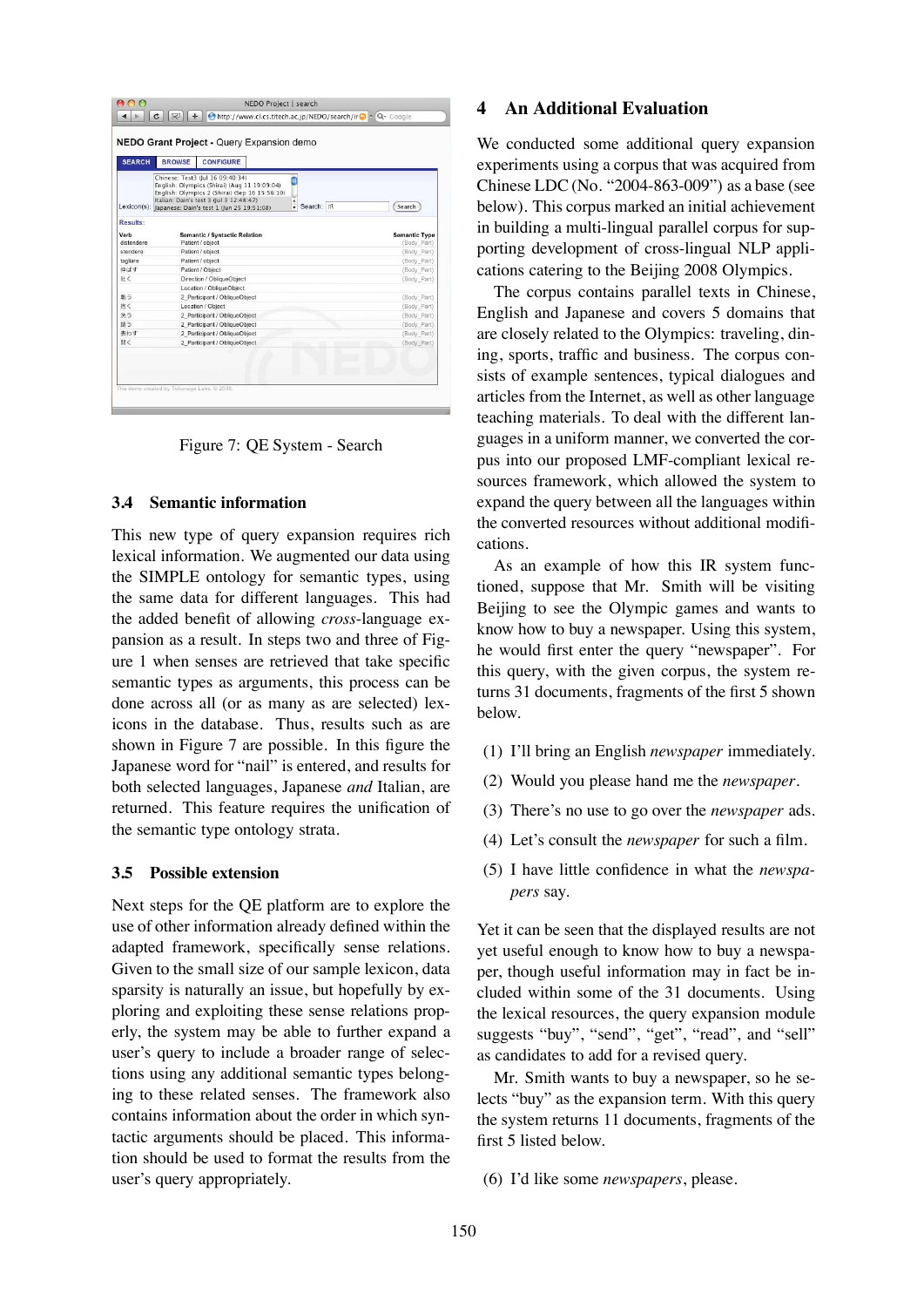| <b>SEARCH</b>                  | <b>CONFIGURE</b><br><b>BROWSE</b>                                                                                                                                                                                                                      |                                     |
|--------------------------------|--------------------------------------------------------------------------------------------------------------------------------------------------------------------------------------------------------------------------------------------------------|-------------------------------------|
|                                | Chinese: Test3 (Iul 16 09:40:34)<br>English: Olympics (Shirai) (Aug 11 19:09:04)<br>English: Olympics 2 (Shirai) (Sep 16 15:56:10)<br>Italian: Dain's test 3 (Jul 3 12:48:47)<br>· Search: //<br>Lexicon(s): Japanese: Dain's test 1 (Jun 25 19:51:08) | Search                              |
| Results:<br>Verb<br>distendere | <b>Semantic / Syntactic Relation</b><br>Patient / object                                                                                                                                                                                               | <b>Semantic Type</b><br>(Body Part) |
| stendere                       | Patient / object                                                                                                                                                                                                                                       | (Body Part)                         |
| tagliare                       | Patient / object                                                                                                                                                                                                                                       | (Body Part)                         |
| 伸ばす                            | Patient / Object                                                                                                                                                                                                                                       | (Body Part)                         |
| 吐く                             | Direction / ObliqueObject                                                                                                                                                                                                                              | (Body Part)                         |
|                                | Location / ObliqueObject                                                                                                                                                                                                                               |                                     |
| 戦う                             | 2 Participant / ObliqueObject                                                                                                                                                                                                                          | (Body Part)                         |
| 抱く                             | Location / Object                                                                                                                                                                                                                                      | (Body Part)                         |
| 洗う                             | 2 Participant / ObliqueObject                                                                                                                                                                                                                          | (Body Part)                         |
| 縫う                             | 2 Participant / ObliqueObject                                                                                                                                                                                                                          | (Body Part)                         |
| 表わす                            | 2_Participant / ObliqueObject                                                                                                                                                                                                                          | (Body Part)                         |
| 開く                             | 2 Participant / ObliqueObject                                                                                                                                                                                                                          | (Body Part)                         |

Figure 7: QE System - Search

### **3.4 Semantic information**

This new type of query expansion requires rich lexical information. We augmented our data using the SIMPLE ontology for semantic types, using the same data for different languages. This had the added benefit of allowing *cross*-language expansion as a result. In steps two and three of Figure 1 when senses are retrieved that take specific semantic types as arguments, this process can be done across all (or as many as are selected) lexicons in the database. Thus, results such as are shown in Figure 7 are possible. In this figure the Japanese word for "nail" is entered, and results for both selected languages, Japanese *and* Italian, are returned. This feature requires the unification of the semantic type ontology strata.

#### **3.5 Possible extension**

Next steps for the QE platform are to explore the use of other information already defined within the adapted framework, specifically sense relations. Given to the small size of our sample lexicon, data sparsity is naturally an issue, but hopefully by exploring and exploiting these sense relations properly, the system may be able to further expand a user's query to include a broader range of selections using any additional semantic types belonging to these related senses. The framework also contains information about the order in which syntactic arguments should be placed. This information should be used to format the results from the user's query appropriately.

### **4 An Additional Evaluation**

We conducted some additional query expansion experiments using a corpus that was acquired from Chinese LDC (No. "2004-863-009") as a base (see below). This corpus marked an initial achievement in building a multi-lingual parallel corpus for supporting development of cross-lingual NLP applications catering to the Beijing 2008 Olympics.

The corpus contains parallel texts in Chinese, English and Japanese and covers 5 domains that are closely related to the Olympics: traveling, dining, sports, traffic and business. The corpus consists of example sentences, typical dialogues and articles from the Internet, as well as other language teaching materials. To deal with the different languages in a uniform manner, we converted the corpus into our proposed LMF-compliant lexical resources framework, which allowed the system to expand the query between all the languages within the converted resources without additional modifications.

As an example of how this IR system functioned, suppose that Mr. Smith will be visiting Beijing to see the Olympic games and wants to know how to buy a newspaper. Using this system, he would first enter the query "newspaper". For this query, with the given corpus, the system returns 31 documents, fragments of the first 5 shown below.

- (1) I'll bring an English *newspaper* immediately.
- (2) Would you please hand me the *newspaper*.
- (3) There's no use to go over the *newspaper* ads.
- (4) Let's consult the *newspaper* for such a film.
- (5) I have little confidence in what the *newspapers* say.

Yet it can be seen that the displayed results are not yet useful enough to know how to buy a newspaper, though useful information may in fact be included within some of the 31 documents. Using the lexical resources, the query expansion module suggests "buy", "send", "get", "read", and "sell" as candidates to add for a revised query.

Mr. Smith wants to buy a newspaper, so he selects "buy" as the expansion term. With this query the system returns 11 documents, fragments of the first 5 listed below.

(6) I'd like some *newspapers*, please.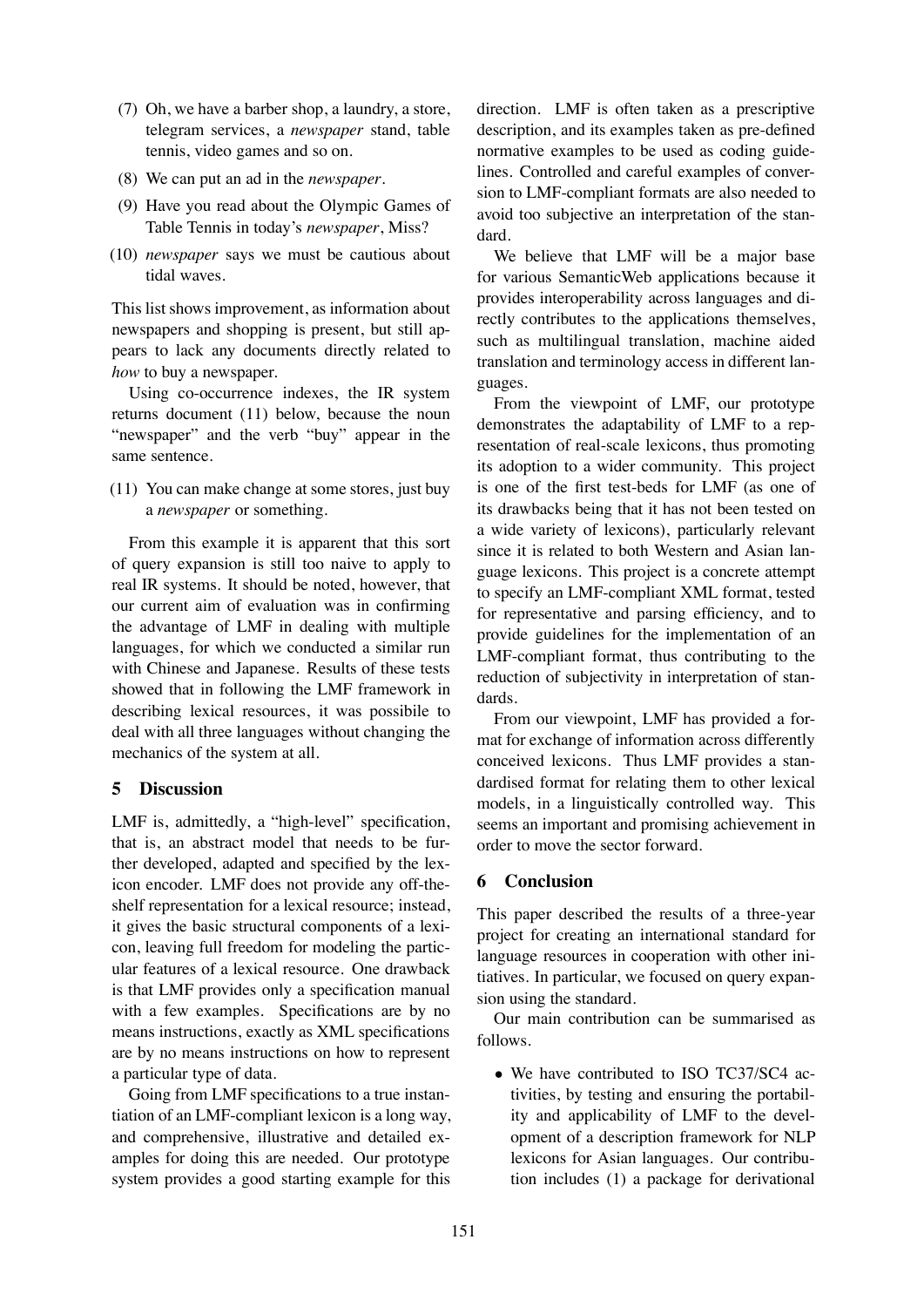- (7) Oh, we have a barber shop, a laundry, a store, telegram services, a *newspaper* stand, table tennis, video games and so on.
- (8) We can put an ad in the *newspaper*.
- (9) Have you read about the Olympic Games of Table Tennis in today's *newspaper*, Miss?
- (10) *newspaper* says we must be cautious about tidal waves.

This list shows improvement, as information about newspapers and shopping is present, but still appears to lack any documents directly related to *how* to buy a newspaper.

Using co-occurrence indexes, the IR system returns document (11) below, because the noun "newspaper" and the verb "buy" appear in the same sentence.

(11) You can make change at some stores, just buy a *newspaper* or something.

From this example it is apparent that this sort of query expansion is still too naive to apply to real IR systems. It should be noted, however, that our current aim of evaluation was in confirming the advantage of LMF in dealing with multiple languages, for which we conducted a similar run with Chinese and Japanese. Results of these tests showed that in following the LMF framework in describing lexical resources, it was possibile to deal with all three languages without changing the mechanics of the system at all.

# **5 Discussion**

LMF is, admittedly, a "high-level" specification, that is, an abstract model that needs to be further developed, adapted and specified by the lexicon encoder. LMF does not provide any off-theshelf representation for a lexical resource; instead, it gives the basic structural components of a lexicon, leaving full freedom for modeling the particular features of a lexical resource. One drawback is that LMF provides only a specification manual with a few examples. Specifications are by no means instructions, exactly as XML specifications are by no means instructions on how to represent a particular type of data.

Going from LMF specifications to a true instantiation of an LMF-compliant lexicon is a long way, and comprehensive, illustrative and detailed examples for doing this are needed. Our prototype system provides a good starting example for this

direction. LMF is often taken as a prescriptive description, and its examples taken as pre-defined normative examples to be used as coding guidelines. Controlled and careful examples of conversion to LMF-compliant formats are also needed to avoid too subjective an interpretation of the standard.

We believe that LMF will be a major base for various SemanticWeb applications because it provides interoperability across languages and directly contributes to the applications themselves, such as multilingual translation, machine aided translation and terminology access in different languages.

From the viewpoint of LMF, our prototype demonstrates the adaptability of LMF to a representation of real-scale lexicons, thus promoting its adoption to a wider community. This project is one of the first test-beds for LMF (as one of its drawbacks being that it has not been tested on a wide variety of lexicons), particularly relevant since it is related to both Western and Asian language lexicons. This project is a concrete attempt to specify an LMF-compliant XML format, tested for representative and parsing efficiency, and to provide guidelines for the implementation of an LMF-compliant format, thus contributing to the reduction of subjectivity in interpretation of standards.

From our viewpoint, LMF has provided a format for exchange of information across differently conceived lexicons. Thus LMF provides a standardised format for relating them to other lexical models, in a linguistically controlled way. This seems an important and promising achievement in order to move the sector forward.

# **6 Conclusion**

This paper described the results of a three-year project for creating an international standard for language resources in cooperation with other initiatives. In particular, we focused on query expansion using the standard.

Our main contribution can be summarised as follows.

• We have contributed to ISO TC37/SC4 activities, by testing and ensuring the portability and applicability of LMF to the development of a description framework for NLP lexicons for Asian languages. Our contribution includes (1) a package for derivational